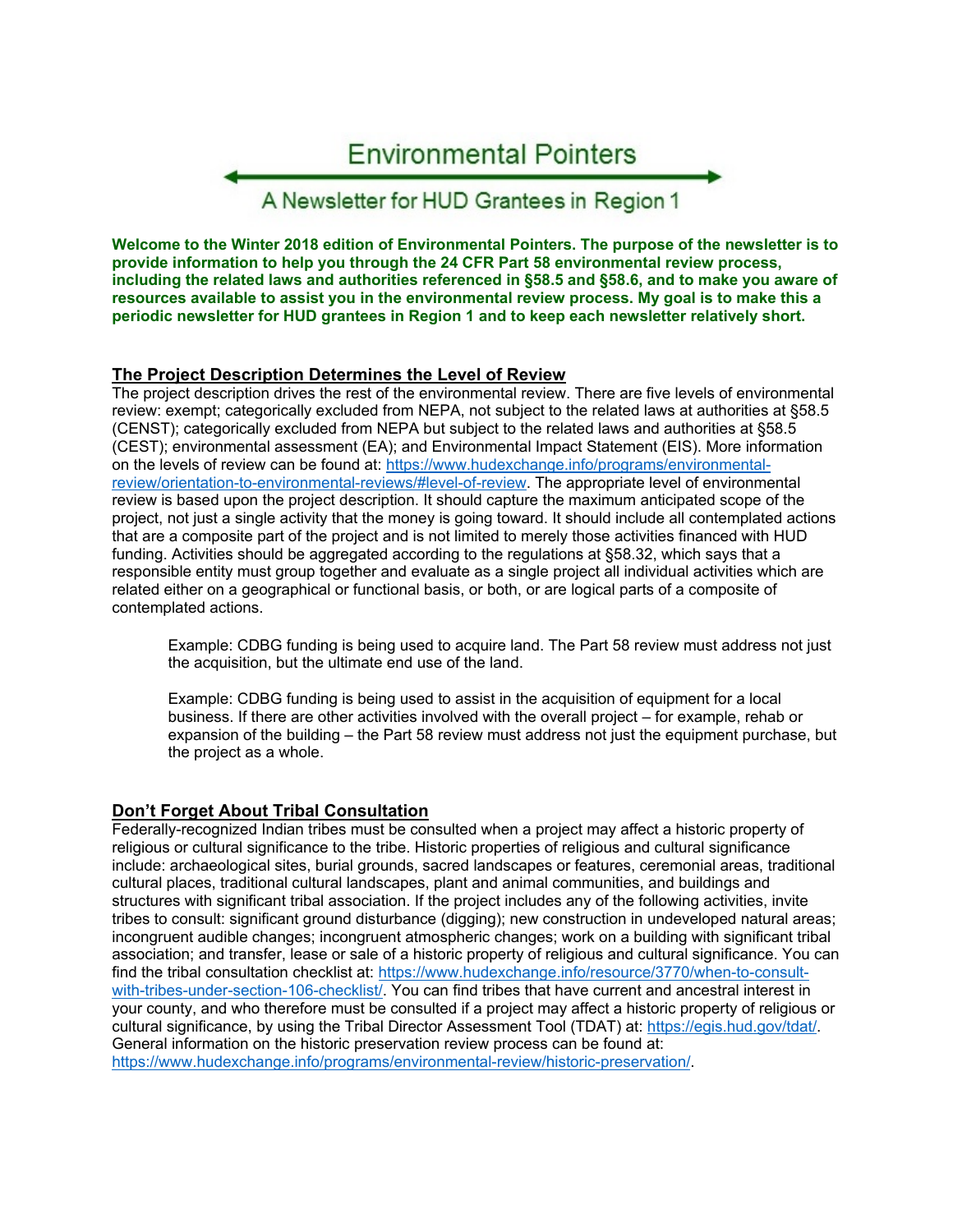

**Welcome to the Winter 2018 edition of Environmental Pointers. The purpose of the newsletter is to provide information to help you through the 24 CFR Part 58 environmental review process, including the related laws and authorities referenced in §58.5 and §58.6, and to make you aware of resources available to assist you in the environmental review process. My goal is to make this a periodic newsletter for HUD grantees in Region 1 and to keep each newsletter relatively short.** 

## **The Project Description Determines the Level of Review**

The project description drives the rest of the environmental review. There are five levels of environmental review: exempt; categorically excluded from NEPA, not subject to the related laws at authorities at §58.5 (CENST); categorically excluded from NEPA but subject to the related laws and authorities at §58.5 (CEST); environmental assessment (EA); and Environmental Impact Statement (EIS). More information on the levels of review can be found at: https://www.hudexchange.info/programs/environmentalreview/orientation-to-environmental-reviews/#level-of-review. The appropriate level of environmental review is based upon the project description. It should capture the maximum anticipated scope of the project, not just a single activity that the money is going toward. It should include all contemplated actions that are a composite part of the project and is not limited to merely those activities financed with HUD funding. Activities should be aggregated according to the regulations at §58.32, which says that a responsible entity must group together and evaluate as a single project all individual activities which are related either on a geographical or functional basis, or both, or are logical parts of a composite of contemplated actions.

Example: CDBG funding is being used to acquire land. The Part 58 review must address not just the acquisition, but the ultimate end use of the land.

Example: CDBG funding is being used to assist in the acquisition of equipment for a local business. If there are other activities involved with the overall project – for example, rehab or expansion of the building – the Part 58 review must address not just the equipment purchase, but the project as a whole.

## **Don't Forget About Tribal Consultation**

Federally-recognized Indian tribes must be consulted when a project may affect a historic property of religious or cultural significance to the tribe. Historic properties of religious and cultural significance include: archaeological sites, burial grounds, sacred landscapes or features, ceremonial areas, traditional cultural places, traditional cultural landscapes, plant and animal communities, and buildings and structures with significant tribal association. If the project includes any of the following activities, invite tribes to consult: significant ground disturbance (digging); new construction in undeveloped natural areas; incongruent audible changes; incongruent atmospheric changes; work on a building with significant tribal association; and transfer, lease or sale of a historic property of religious and cultural significance. You can find the tribal consultation checklist at: https://www.hudexchange.info/resource/3770/when-to-consultwith-tribes-under-section-106-checklist/. You can find tribes that have current and ancestral interest in your county, and who therefore must be consulted if a project may affect a historic property of religious or cultural significance, by using the Tribal Director Assessment Tool (TDAT) at: https://egis.hud.gov/tdat/. General information on the historic preservation review process can be found at: https://www.hudexchange.info/programs/environmental-review/historic-preservation/.